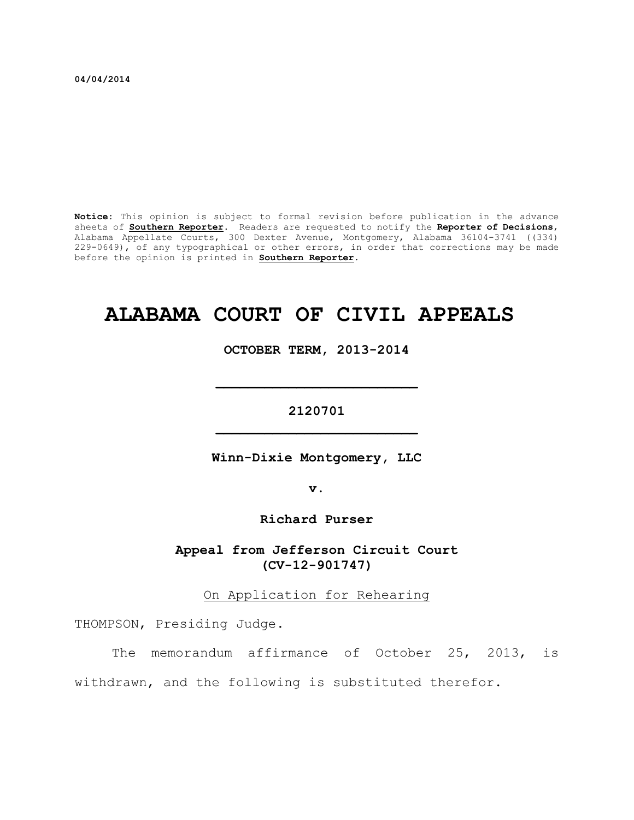**04/04/2014**

**Notice:** This opinion is subject to formal revision before publication in the advance sheets of **Southern Reporter**. Readers are requested to notify the **Reporter of Decisions**, Alabama Appellate Courts, 300 Dexter Avenue, Montgomery, Alabama 36104-3741 ((334) 229-0649), of any typographical or other errors, in order that corrections may be made before the opinion is printed in **Southern Reporter**.

# **ALABAMA COURT OF CIVIL APPEALS**

**OCTOBER TERM, 2013-2014**

# **2120701 \_\_\_\_\_\_\_\_\_\_\_\_\_\_\_\_\_\_\_\_\_\_\_\_\_**

**\_\_\_\_\_\_\_\_\_\_\_\_\_\_\_\_\_\_\_\_\_\_\_\_\_**

**Winn-Dixie Montgomery, LLC**

**v.**

**Richard Purser**

**Appeal from Jefferson Circuit Court (CV-12-901747)**

On Application for Rehearing

THOMPSON, Presiding Judge.

The memorandum affirmance of October 25, 2013, is

withdrawn, and the following is substituted therefor.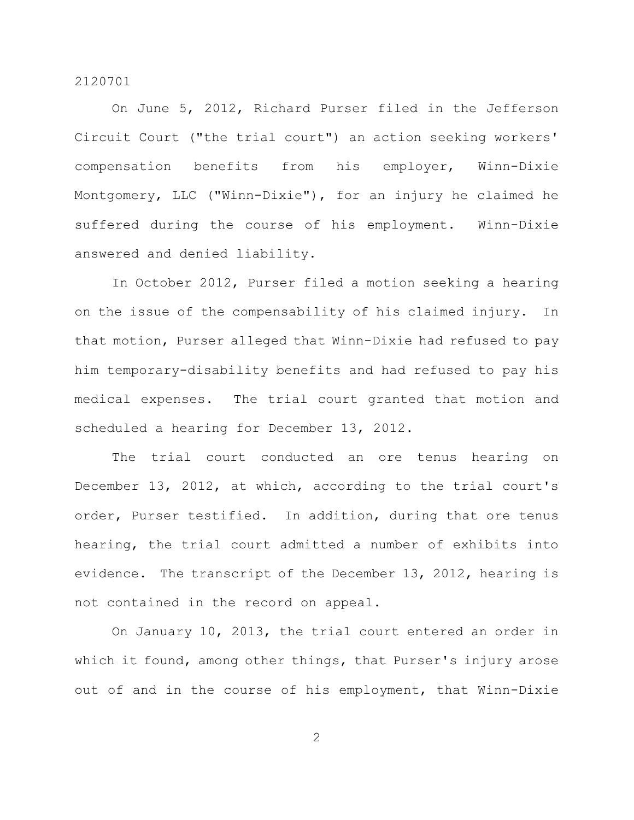On June 5, 2012, Richard Purser filed in the Jefferson Circuit Court ("the trial court") an action seeking workers' compensation benefits from his employer, Winn-Dixie Montgomery, LLC ("Winn-Dixie"), for an injury he claimed he suffered during the course of his employment. Winn-Dixie answered and denied liability.

In October 2012, Purser filed a motion seeking a hearing on the issue of the compensability of his claimed injury. In that motion, Purser alleged that Winn-Dixie had refused to pay him temporary-disability benefits and had refused to pay his medical expenses. The trial court granted that motion and scheduled a hearing for December 13, 2012.

The trial court conducted an ore tenus hearing on December 13, 2012, at which, according to the trial court's order, Purser testified. In addition, during that ore tenus hearing, the trial court admitted a number of exhibits into evidence. The transcript of the December 13, 2012, hearing is not contained in the record on appeal.

On January 10, 2013, the trial court entered an order in which it found, among other things, that Purser's injury arose out of and in the course of his employment, that Winn-Dixie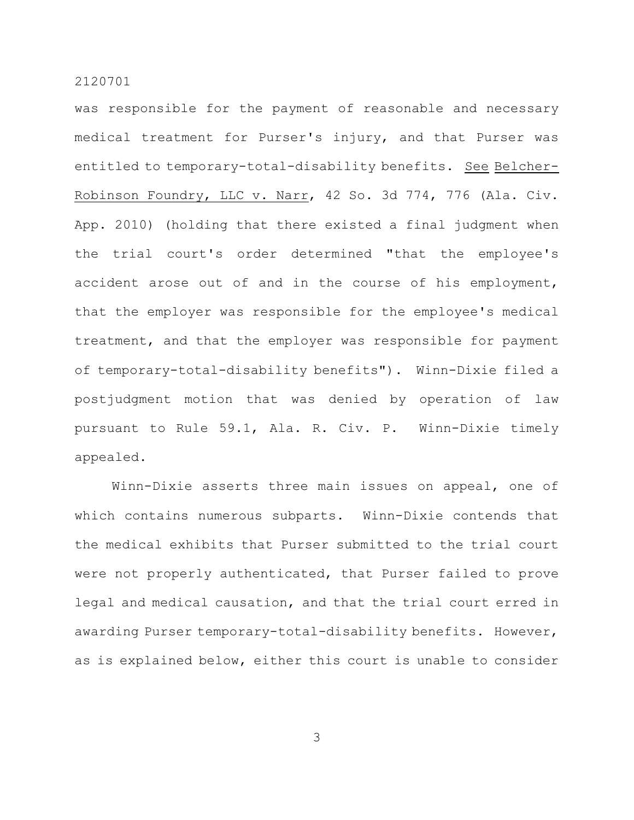was responsible for the payment of reasonable and necessary medical treatment for Purser's injury, and that Purser was entitled to temporary-total-disability benefits. See Belcher-Robinson Foundry, LLC v. Narr, 42 So. 3d 774, 776 (Ala. Civ. App. 2010) (holding that there existed a final judgment when the trial court's order determined "that the employee's accident arose out of and in the course of his employment, that the employer was responsible for the employee's medical treatment, and that the employer was responsible for payment of temporary-total-disability benefits"). Winn-Dixie filed a postjudgment motion that was denied by operation of law pursuant to Rule 59.1, Ala. R. Civ. P. Winn-Dixie timely appealed.

Winn-Dixie asserts three main issues on appeal, one of which contains numerous subparts. Winn-Dixie contends that the medical exhibits that Purser submitted to the trial court were not properly authenticated, that Purser failed to prove legal and medical causation, and that the trial court erred in awarding Purser temporary-total-disability benefits. However, as is explained below, either this court is unable to consider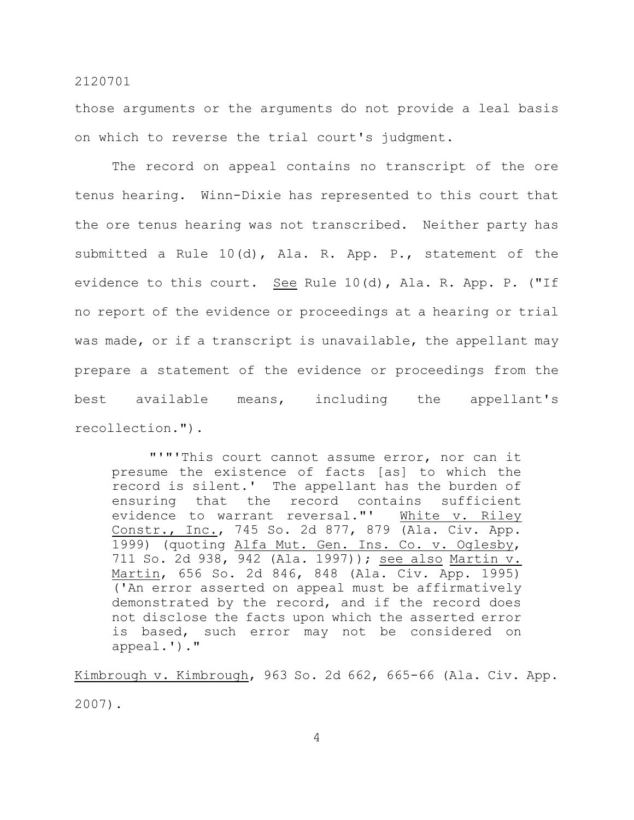those arguments or the arguments do not provide a leal basis on which to reverse the trial court's judgment.

The record on appeal contains no transcript of the ore tenus hearing. Winn-Dixie has represented to this court that the ore tenus hearing was not transcribed. Neither party has submitted a Rule 10(d), Ala. R. App. P., statement of the evidence to this court. See Rule 10(d), Ala. R. App. P. ("If no report of the evidence or proceedings at a hearing or trial was made, or if a transcript is unavailable, the appellant may prepare a statement of the evidence or proceedings from the best available means, including the appellant's recollection.").

"'"'This court cannot assume error, nor can it presume the existence of facts [as] to which the record is silent.' The appellant has the burden of ensuring that the record contains sufficient evidence to warrant reversal."' White v. Riley Constr., Inc., 745 So. 2d 877, 879 (Ala. Civ. App. 1999) (quoting Alfa Mut. Gen. Ins. Co. v. Oglesby, 711 So. 2d 938, 942 (Ala. 1997)); see also Martin v. Martin, 656 So. 2d 846, 848 (Ala. Civ. App. 1995) ('An error asserted on appeal must be affirmatively demonstrated by the record, and if the record does not disclose the facts upon which the asserted error is based, such error may not be considered on appeal.')."

Kimbrough v. Kimbrough, 963 So. 2d 662, 665-66 (Ala. Civ. App. 2007).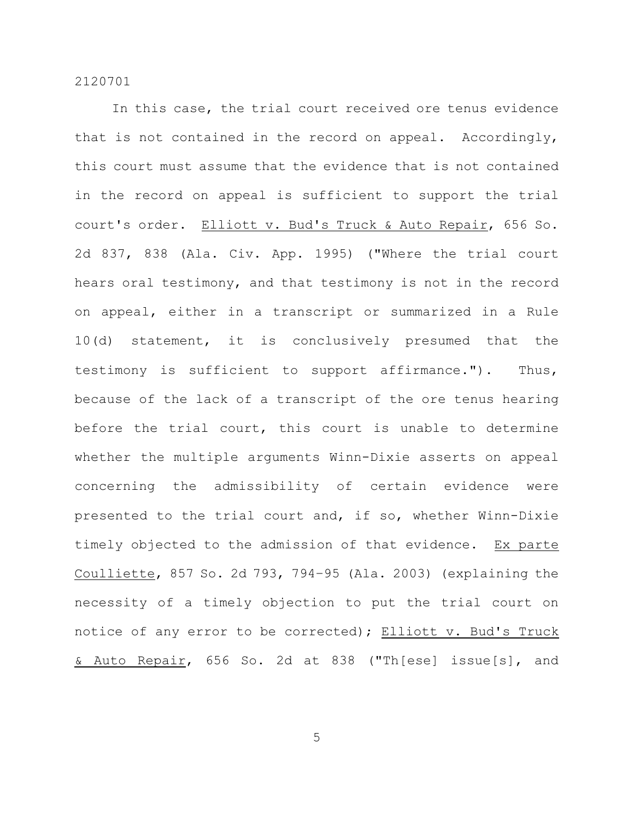In this case, the trial court received ore tenus evidence that is not contained in the record on appeal. Accordingly, this court must assume that the evidence that is not contained in the record on appeal is sufficient to support the trial court's order. Elliott v. Bud's Truck & Auto Repair, 656 So. 2d 837, 838 (Ala. Civ. App. 1995) ("Where the trial court hears oral testimony, and that testimony is not in the record on appeal, either in a transcript or summarized in a Rule 10(d) statement, it is conclusively presumed that the testimony is sufficient to support affirmance."). Thus, because of the lack of a transcript of the ore tenus hearing before the trial court, this court is unable to determine whether the multiple arguments Winn-Dixie asserts on appeal concerning the admissibility of certain evidence were presented to the trial court and, if so, whether Winn-Dixie timely objected to the admission of that evidence. Ex parte Coulliette, 857 So. 2d 793, 794–95 (Ala. 2003) (explaining the necessity of a timely objection to put the trial court on notice of any error to be corrected); Elliott v. Bud's Truck & Auto Repair, 656 So. 2d at 838 ("Th[ese] issue[s], and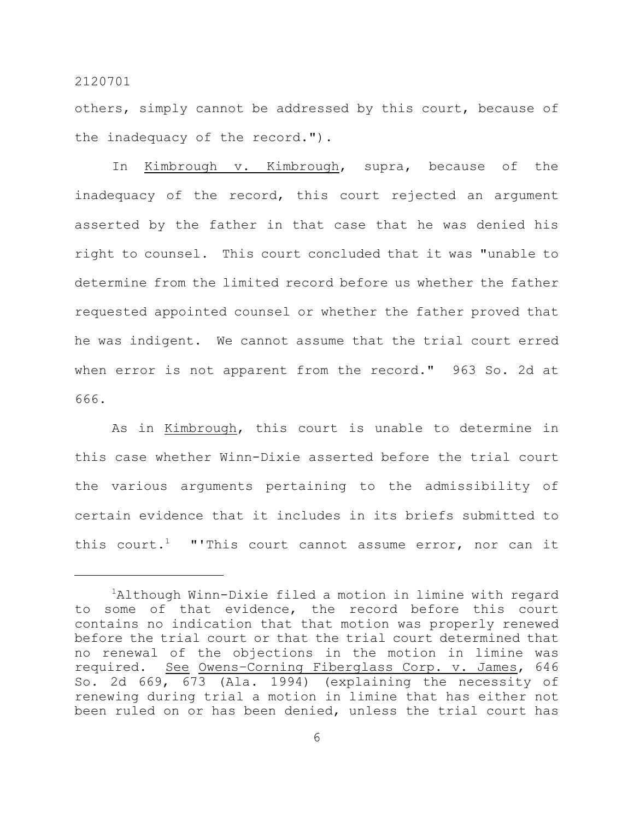others, simply cannot be addressed by this court, because of the inadequacy of the record.").

In Kimbrough v. Kimbrough, supra, because of the inadequacy of the record, this court rejected an argument asserted by the father in that case that he was denied his right to counsel. This court concluded that it was "unable to determine from the limited record before us whether the father requested appointed counsel or whether the father proved that he was indigent. We cannot assume that the trial court erred when error is not apparent from the record." 963 So. 2d at 666.

As in Kimbrough, this court is unable to determine in this case whether Winn-Dixie asserted before the trial court the various arguments pertaining to the admissibility of certain evidence that it includes in its briefs submitted to this court.<sup>1</sup> "'This court cannot assume error, nor can it

<sup>&</sup>lt;sup>1</sup>Although Winn-Dixie filed a motion in limine with regard to some of that evidence, the record before this court contains no indication that that motion was properly renewed before the trial court or that the trial court determined that no renewal of the objections in the motion in limine was required. See Owens–Corning Fiberglass Corp. v. James, 646 So. 2d 669, 673 (Ala. 1994) (explaining the necessity of renewing during trial a motion in limine that has either not been ruled on or has been denied, unless the trial court has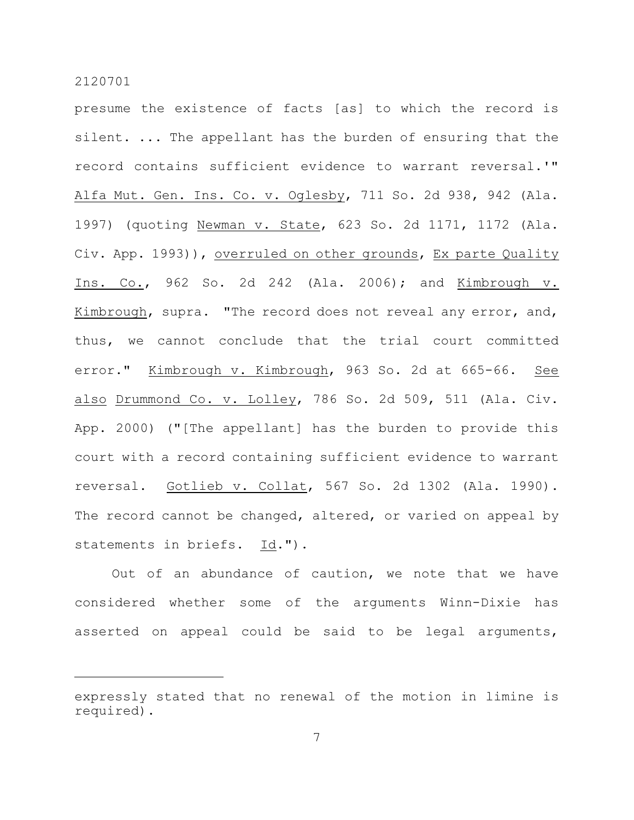presume the existence of facts [as] to which the record is silent. ... The appellant has the burden of ensuring that the record contains sufficient evidence to warrant reversal.'" Alfa Mut. Gen. Ins. Co. v. Oglesby, 711 So. 2d 938, 942 (Ala. 1997) (quoting Newman v. State, 623 So. 2d 1171, 1172 (Ala. Civ. App. 1993)), overruled on other grounds, Ex parte Quality Ins. Co., 962 So. 2d 242 (Ala. 2006); and Kimbrough v. Kimbrough, supra. "The record does not reveal any error, and, thus, we cannot conclude that the trial court committed error." Kimbrough v. Kimbrough, 963 So. 2d at 665-66. See also Drummond Co. v. Lolley, 786 So. 2d 509, 511 (Ala. Civ. App. 2000) ("[The appellant] has the burden to provide this court with a record containing sufficient evidence to warrant reversal. Gotlieb v. Collat, 567 So. 2d 1302 (Ala. 1990). The record cannot be changed, altered, or varied on appeal by statements in briefs. Id.").

Out of an abundance of caution, we note that we have considered whether some of the arguments Winn-Dixie has asserted on appeal could be said to be legal arguments,

expressly stated that no renewal of the motion in limine is required).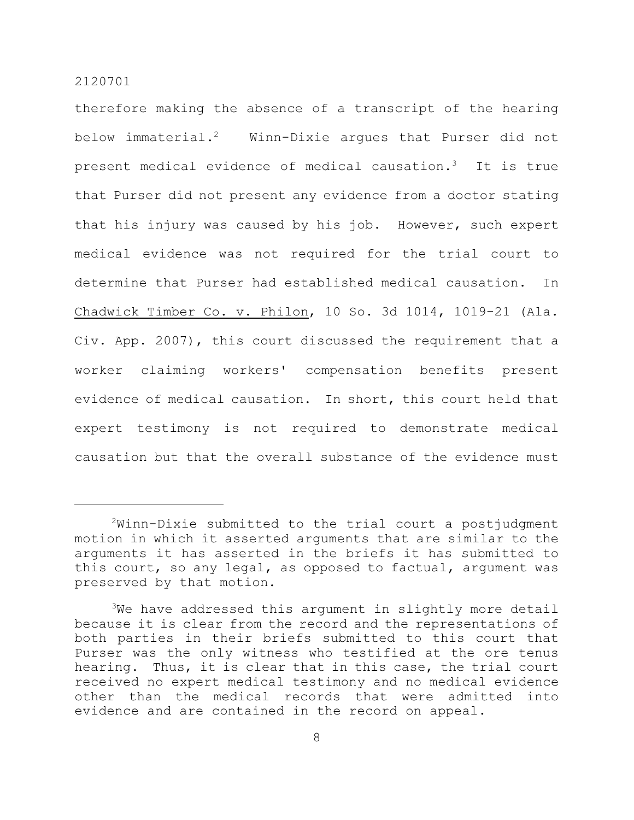therefore making the absence of a transcript of the hearing below immaterial.<sup>2</sup> Winn-Dixie argues that Purser did not present medical evidence of medical causation.<sup>3</sup> It is true that Purser did not present any evidence from a doctor stating that his injury was caused by his job. However, such expert medical evidence was not required for the trial court to determine that Purser had established medical causation. In Chadwick Timber Co. v. Philon, 10 So. 3d 1014, 1019-21 (Ala. Civ. App. 2007), this court discussed the requirement that a worker claiming workers' compensation benefits present evidence of medical causation. In short, this court held that expert testimony is not required to demonstrate medical causation but that the overall substance of the evidence must

 $2$ Winn-Dixie submitted to the trial court a postjudgment motion in which it asserted arguments that are similar to the arguments it has asserted in the briefs it has submitted to this court, so any legal, as opposed to factual, argument was preserved by that motion.

 $3$ We have addressed this argument in slightly more detail because it is clear from the record and the representations of both parties in their briefs submitted to this court that Purser was the only witness who testified at the ore tenus hearing. Thus, it is clear that in this case, the trial court received no expert medical testimony and no medical evidence other than the medical records that were admitted into evidence and are contained in the record on appeal.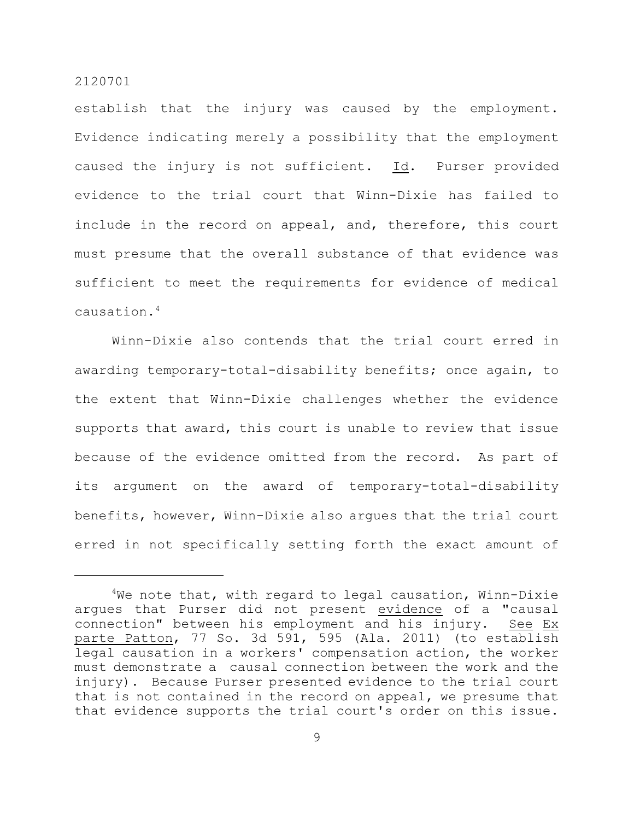establish that the injury was caused by the employment. Evidence indicating merely a possibility that the employment caused the injury is not sufficient. Id. Purser provided evidence to the trial court that Winn-Dixie has failed to include in the record on appeal, and, therefore, this court must presume that the overall substance of that evidence was sufficient to meet the requirements for evidence of medical causation.<sup>4</sup>

Winn-Dixie also contends that the trial court erred in awarding temporary-total-disability benefits; once again, to the extent that Winn-Dixie challenges whether the evidence supports that award, this court is unable to review that issue because of the evidence omitted from the record. As part of its argument on the award of temporary-total-disability benefits, however, Winn-Dixie also argues that the trial court erred in not specifically setting forth the exact amount of

 $4$ We note that, with regard to legal causation, Winn-Dixie argues that Purser did not present evidence of a "causal connection" between his employment and his injury. See Ex parte Patton, 77 So. 3d 591, 595 (Ala. 2011) (to establish legal causation in a workers' compensation action, the worker must demonstrate a causal connection between the work and the injury). Because Purser presented evidence to the trial court that is not contained in the record on appeal, we presume that that evidence supports the trial court's order on this issue.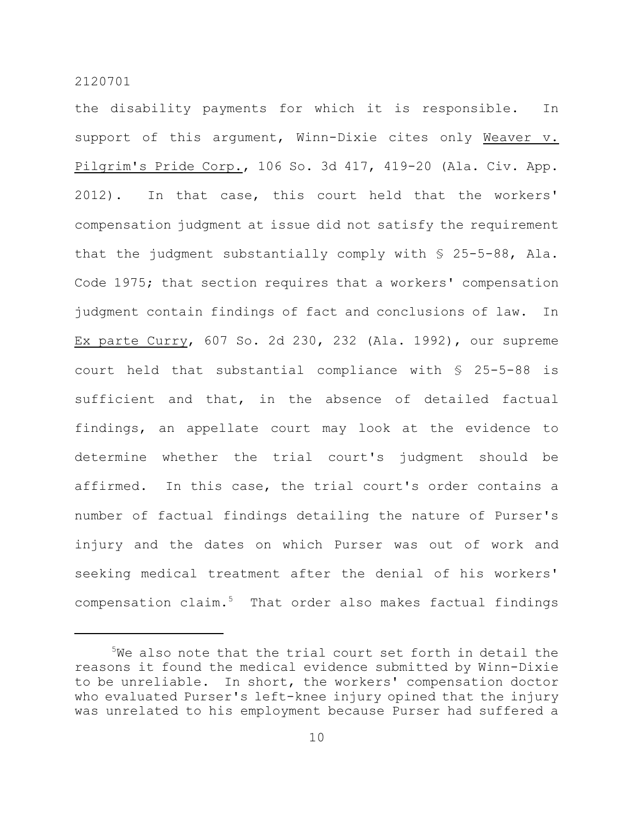the disability payments for which it is responsible. In support of this argument, Winn-Dixie cites only Weaver v. Pilgrim's Pride Corp., 106 So. 3d 417, 419-20 (Ala. Civ. App. 2012). In that case, this court held that the workers' compensation judgment at issue did not satisfy the requirement that the judgment substantially comply with § 25-5-88, Ala. Code 1975; that section requires that a workers' compensation judgment contain findings of fact and conclusions of law. In Ex parte Curry, 607 So. 2d 230, 232 (Ala. 1992), our supreme court held that substantial compliance with § 25-5-88 is sufficient and that, in the absence of detailed factual findings, an appellate court may look at the evidence to determine whether the trial court's judgment should be affirmed. In this case, the trial court's order contains a number of factual findings detailing the nature of Purser's injury and the dates on which Purser was out of work and seeking medical treatment after the denial of his workers'  $compensation claim.<sup>5</sup> That order also makes factual findings$ 

 $5$ We also note that the trial court set forth in detail the reasons it found the medical evidence submitted by Winn-Dixie to be unreliable. In short, the workers' compensation doctor who evaluated Purser's left-knee injury opined that the injury was unrelated to his employment because Purser had suffered a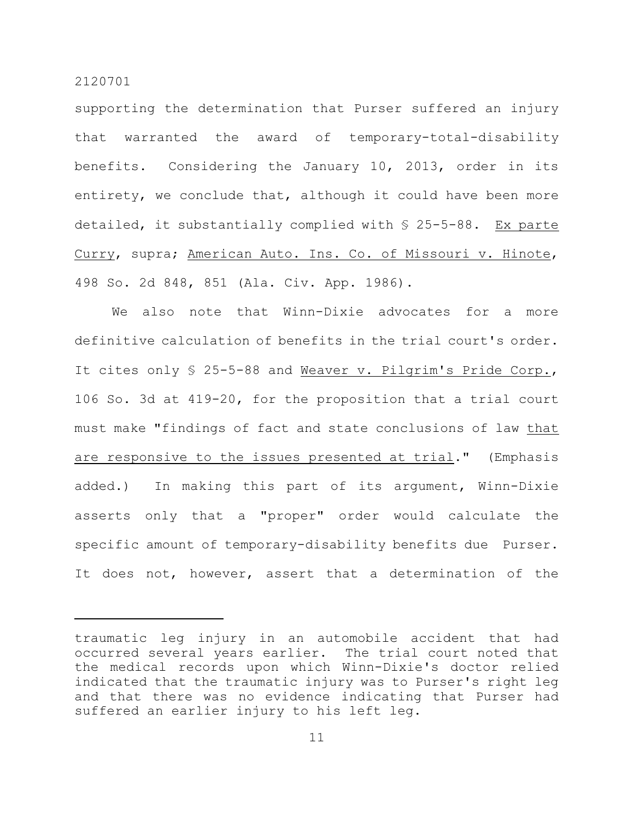supporting the determination that Purser suffered an injury that warranted the award of temporary-total-disability benefits. Considering the January 10, 2013, order in its entirety, we conclude that, although it could have been more detailed, it substantially complied with § 25-5-88. Ex parte Curry, supra; American Auto. Ins. Co. of Missouri v. Hinote, 498 So. 2d 848, 851 (Ala. Civ. App. 1986).

We also note that Winn-Dixie advocates for a more definitive calculation of benefits in the trial court's order. It cites only § 25-5-88 and Weaver v. Pilgrim's Pride Corp., 106 So. 3d at 419-20, for the proposition that a trial court must make "findings of fact and state conclusions of law that are responsive to the issues presented at trial." (Emphasis added.) In making this part of its argument, Winn-Dixie asserts only that a "proper" order would calculate the specific amount of temporary-disability benefits due Purser. It does not, however, assert that a determination of the

traumatic leg injury in an automobile accident that had occurred several years earlier. The trial court noted that the medical records upon which Winn-Dixie's doctor relied indicated that the traumatic injury was to Purser's right leg and that there was no evidence indicating that Purser had suffered an earlier injury to his left leg.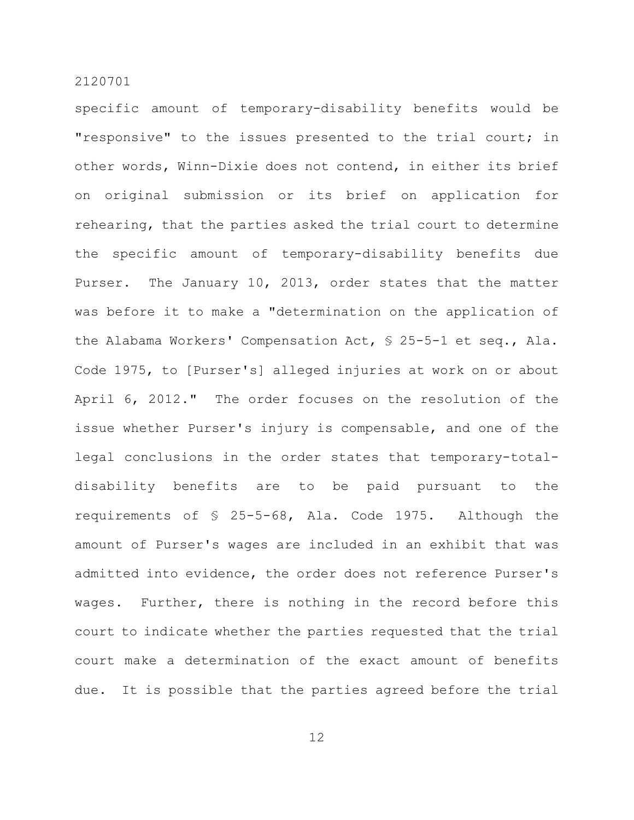specific amount of temporary-disability benefits would be "responsive" to the issues presented to the trial court; in other words, Winn-Dixie does not contend, in either its brief on original submission or its brief on application for rehearing, that the parties asked the trial court to determine the specific amount of temporary-disability benefits due Purser. The January 10, 2013, order states that the matter was before it to make a "determination on the application of the Alabama Workers' Compensation Act, § 25-5-1 et seq., Ala. Code 1975, to [Purser's] alleged injuries at work on or about April 6, 2012." The order focuses on the resolution of the issue whether Purser's injury is compensable, and one of the legal conclusions in the order states that temporary-totaldisability benefits are to be paid pursuant to the requirements of § 25-5-68, Ala. Code 1975. Although the amount of Purser's wages are included in an exhibit that was admitted into evidence, the order does not reference Purser's wages. Further, there is nothing in the record before this court to indicate whether the parties requested that the trial court make a determination of the exact amount of benefits due. It is possible that the parties agreed before the trial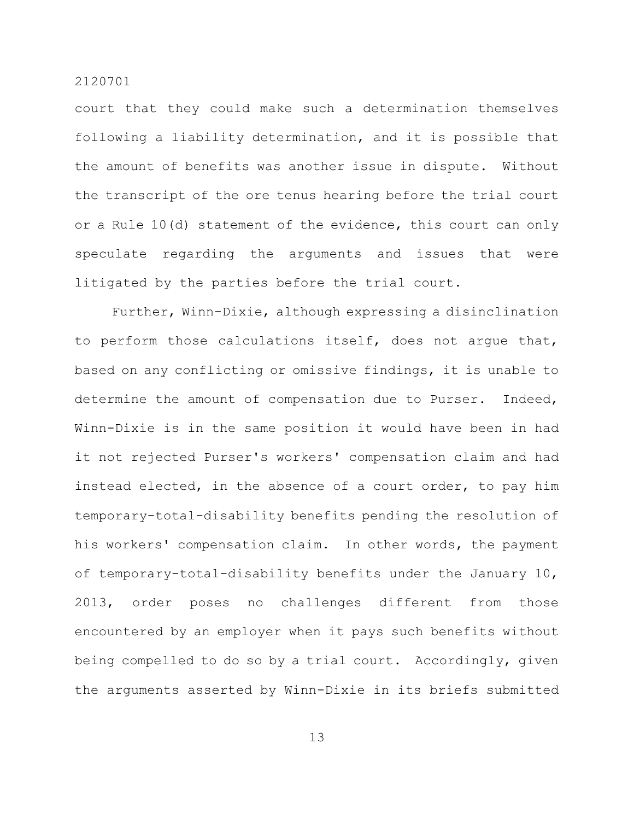court that they could make such a determination themselves following a liability determination, and it is possible that the amount of benefits was another issue in dispute. Without the transcript of the ore tenus hearing before the trial court or a Rule 10(d) statement of the evidence, this court can only speculate regarding the arguments and issues that were litigated by the parties before the trial court.

Further, Winn-Dixie, although expressing a disinclination to perform those calculations itself, does not argue that, based on any conflicting or omissive findings, it is unable to determine the amount of compensation due to Purser. Indeed, Winn-Dixie is in the same position it would have been in had it not rejected Purser's workers' compensation claim and had instead elected, in the absence of a court order, to pay him temporary-total-disability benefits pending the resolution of his workers' compensation claim. In other words, the payment of temporary-total-disability benefits under the January 10, 2013, order poses no challenges different from those encountered by an employer when it pays such benefits without being compelled to do so by a trial court. Accordingly, given the arguments asserted by Winn-Dixie in its briefs submitted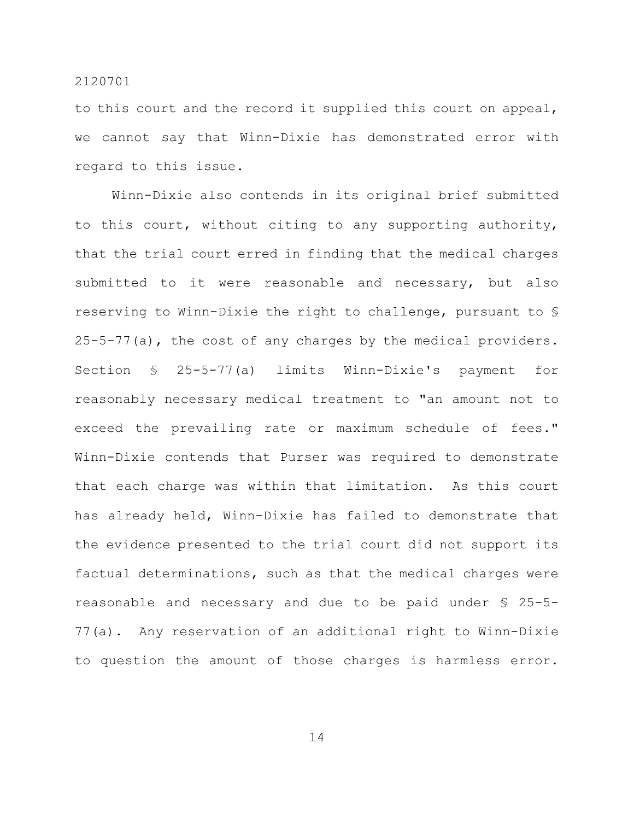to this court and the record it supplied this court on appeal, we cannot say that Winn-Dixie has demonstrated error with regard to this issue.

Winn-Dixie also contends in its original brief submitted to this court, without citing to any supporting authority, that the trial court erred in finding that the medical charges submitted to it were reasonable and necessary, but also reserving to Winn-Dixie the right to challenge, pursuant to § 25-5-77(a), the cost of any charges by the medical providers. Section § 25-5-77(a) limits Winn-Dixie's payment for reasonably necessary medical treatment to "an amount not to exceed the prevailing rate or maximum schedule of fees." Winn-Dixie contends that Purser was required to demonstrate that each charge was within that limitation. As this court has already held, Winn-Dixie has failed to demonstrate that the evidence presented to the trial court did not support its factual determinations, such as that the medical charges were reasonable and necessary and due to be paid under § 25-5- 77(a). Any reservation of an additional right to Winn-Dixie to question the amount of those charges is harmless error.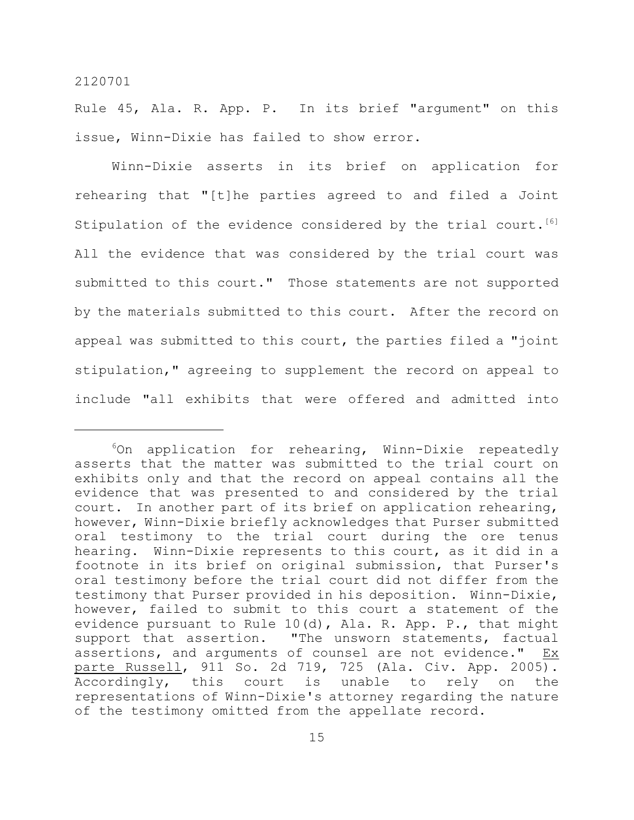Rule 45, Ala. R. App. P. In its brief "argument" on this issue, Winn-Dixie has failed to show error.

Winn-Dixie asserts in its brief on application for rehearing that "[t]he parties agreed to and filed a Joint Stipulation of the evidence considered by the trial court. [6] All the evidence that was considered by the trial court was submitted to this court." Those statements are not supported by the materials submitted to this court. After the record on appeal was submitted to this court, the parties filed a "joint stipulation," agreeing to supplement the record on appeal to include "all exhibits that were offered and admitted into

 $6$ On application for rehearing, Winn-Dixie repeatedly asserts that the matter was submitted to the trial court on exhibits only and that the record on appeal contains all the evidence that was presented to and considered by the trial court. In another part of its brief on application rehearing, however, Winn-Dixie briefly acknowledges that Purser submitted oral testimony to the trial court during the ore tenus hearing. Winn-Dixie represents to this court, as it did in a footnote in its brief on original submission, that Purser's oral testimony before the trial court did not differ from the testimony that Purser provided in his deposition. Winn-Dixie, however, failed to submit to this court a statement of the evidence pursuant to Rule 10(d), Ala. R. App. P., that might support that assertion. "The unsworn statements, factual assertions, and arguments of counsel are not evidence." Ex parte Russell, 911 So. 2d 719, 725 (Ala. Civ. App. 2005). Accordingly, this court is unable to rely on the representations of Winn-Dixie's attorney regarding the nature of the testimony omitted from the appellate record.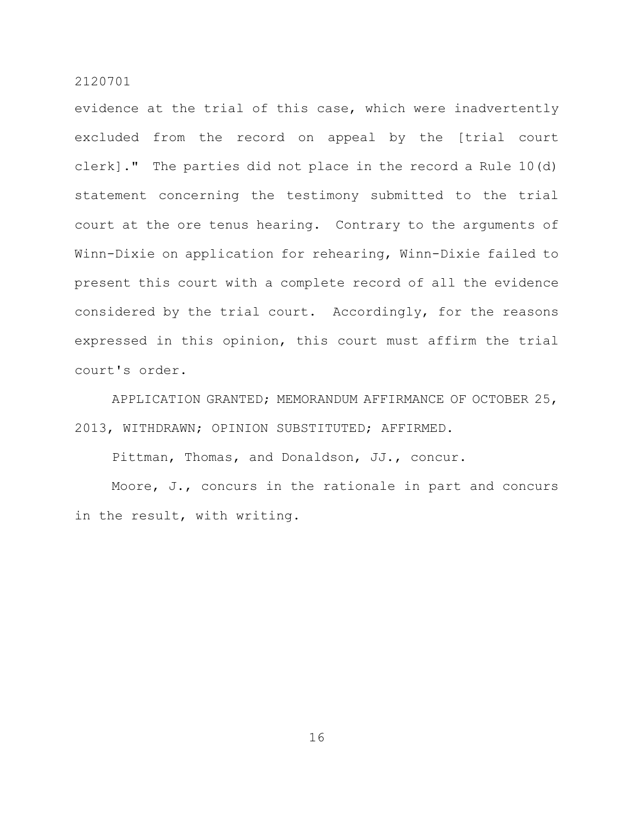evidence at the trial of this case, which were inadvertently excluded from the record on appeal by the [trial court clerk]." The parties did not place in the record a Rule 10(d) statement concerning the testimony submitted to the trial court at the ore tenus hearing. Contrary to the arguments of Winn-Dixie on application for rehearing, Winn-Dixie failed to present this court with a complete record of all the evidence considered by the trial court. Accordingly, for the reasons expressed in this opinion, this court must affirm the trial court's order.

APPLICATION GRANTED; MEMORANDUM AFFIRMANCE OF OCTOBER 25, 2013, WITHDRAWN; OPINION SUBSTITUTED; AFFIRMED.

Pittman, Thomas, and Donaldson, JJ., concur.

Moore, J., concurs in the rationale in part and concurs in the result, with writing.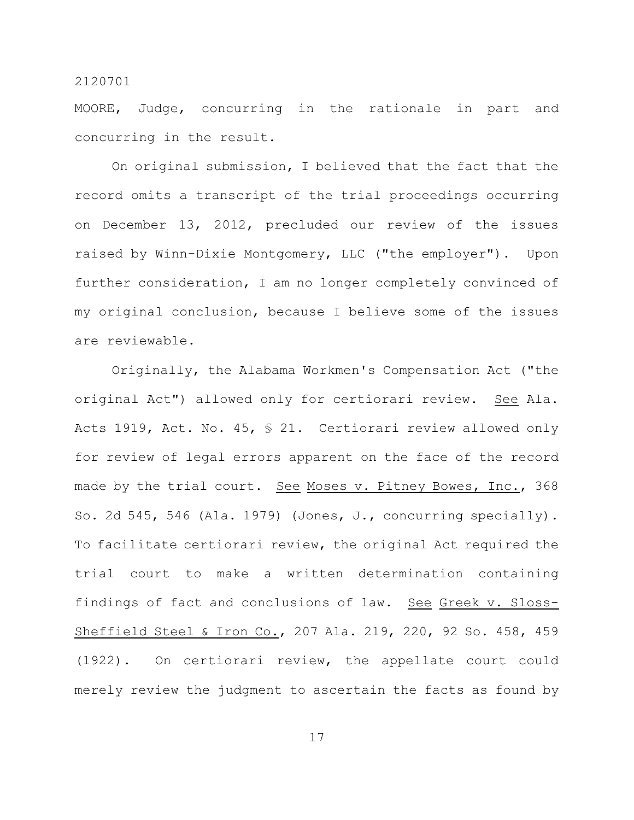MOORE, Judge, concurring in the rationale in part and concurring in the result.

On original submission, I believed that the fact that the record omits a transcript of the trial proceedings occurring on December 13, 2012, precluded our review of the issues raised by Winn-Dixie Montgomery, LLC ("the employer"). Upon further consideration, I am no longer completely convinced of my original conclusion, because I believe some of the issues are reviewable.

Originally, the Alabama Workmen's Compensation Act ("the original Act") allowed only for certiorari review. See Ala. Acts 1919, Act. No. 45, § 21. Certiorari review allowed only for review of legal errors apparent on the face of the record made by the trial court. See Moses v. Pitney Bowes, Inc., 368 So. 2d 545, 546 (Ala. 1979) (Jones, J., concurring specially). To facilitate certiorari review, the original Act required the trial court to make a written determination containing findings of fact and conclusions of law. See Greek v. Sloss-Sheffield Steel & Iron Co., 207 Ala. 219, 220, 92 So. 458, 459 (1922). On certiorari review, the appellate court could merely review the judgment to ascertain the facts as found by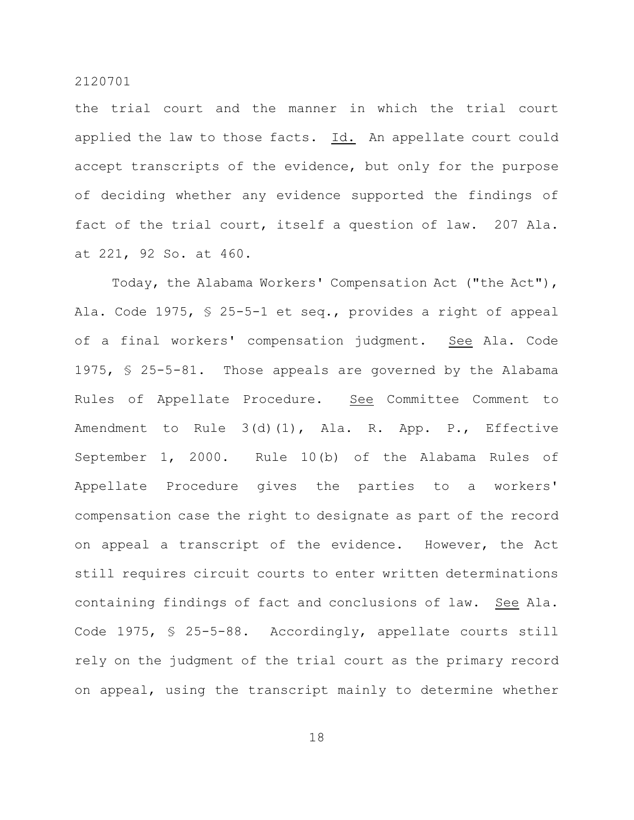the trial court and the manner in which the trial court applied the law to those facts. Id. An appellate court could accept transcripts of the evidence, but only for the purpose of deciding whether any evidence supported the findings of fact of the trial court, itself a question of law. 207 Ala. at 221, 92 So. at 460.

Today, the Alabama Workers' Compensation Act ("the Act"), Ala. Code 1975, § 25-5-1 et seq., provides a right of appeal of a final workers' compensation judgment. See Ala. Code 1975, § 25-5-81. Those appeals are governed by the Alabama Rules of Appellate Procedure. See Committee Comment to Amendment to Rule 3(d)(1), Ala. R. App. P., Effective September 1, 2000. Rule 10(b) of the Alabama Rules of Appellate Procedure gives the parties to a workers' compensation case the right to designate as part of the record on appeal a transcript of the evidence. However, the Act still requires circuit courts to enter written determinations containing findings of fact and conclusions of law. See Ala. Code 1975, § 25-5-88. Accordingly, appellate courts still rely on the judgment of the trial court as the primary record on appeal, using the transcript mainly to determine whether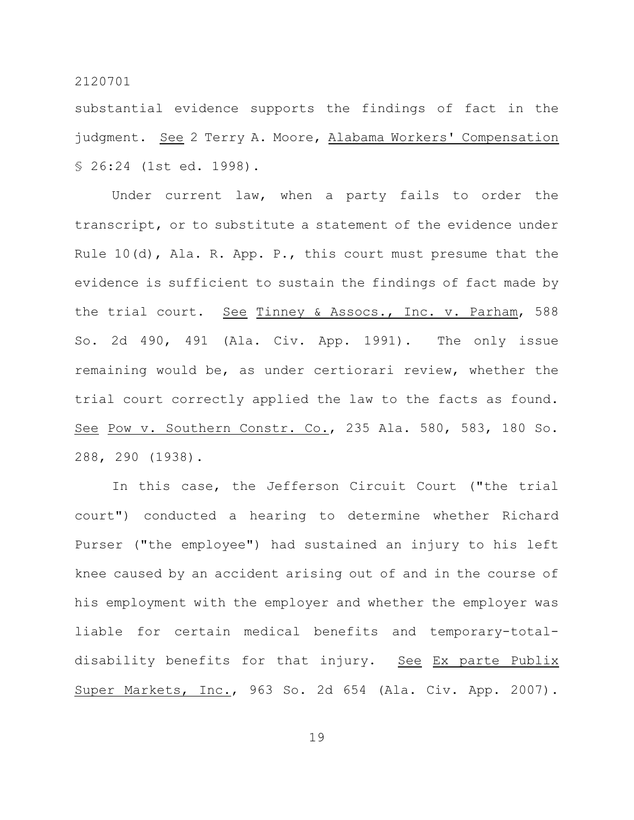substantial evidence supports the findings of fact in the judgment. See 2 Terry A. Moore, Alabama Workers' Compensation § 26:24 (1st ed. 1998).

Under current law, when a party fails to order the transcript, or to substitute a statement of the evidence under Rule 10(d), Ala. R. App. P., this court must presume that the evidence is sufficient to sustain the findings of fact made by the trial court. See Tinney & Assocs., Inc. v. Parham, 588 So. 2d 490, 491 (Ala. Civ. App. 1991). The only issue remaining would be, as under certiorari review, whether the trial court correctly applied the law to the facts as found. See Pow v. Southern Constr. Co., 235 Ala. 580, 583, 180 So. 288, 290 (1938).

In this case, the Jefferson Circuit Court ("the trial court") conducted a hearing to determine whether Richard Purser ("the employee") had sustained an injury to his left knee caused by an accident arising out of and in the course of his employment with the employer and whether the employer was liable for certain medical benefits and temporary-totaldisability benefits for that injury. See Ex parte Publix Super Markets, Inc., 963 So. 2d 654 (Ala. Civ. App. 2007).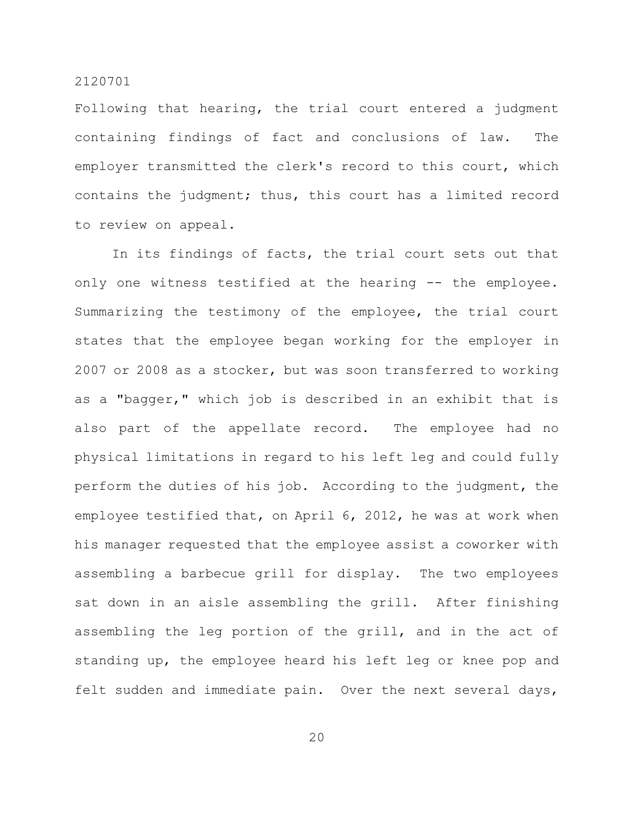Following that hearing, the trial court entered a judgment containing findings of fact and conclusions of law. The employer transmitted the clerk's record to this court, which contains the judgment; thus, this court has a limited record to review on appeal.

In its findings of facts, the trial court sets out that only one witness testified at the hearing -- the employee. Summarizing the testimony of the employee, the trial court states that the employee began working for the employer in 2007 or 2008 as a stocker, but was soon transferred to working as a "bagger," which job is described in an exhibit that is also part of the appellate record. The employee had no physical limitations in regard to his left leg and could fully perform the duties of his job. According to the judgment, the employee testified that, on April 6, 2012, he was at work when his manager requested that the employee assist a coworker with assembling a barbecue grill for display. The two employees sat down in an aisle assembling the grill. After finishing assembling the leg portion of the grill, and in the act of standing up, the employee heard his left leg or knee pop and felt sudden and immediate pain. Over the next several days,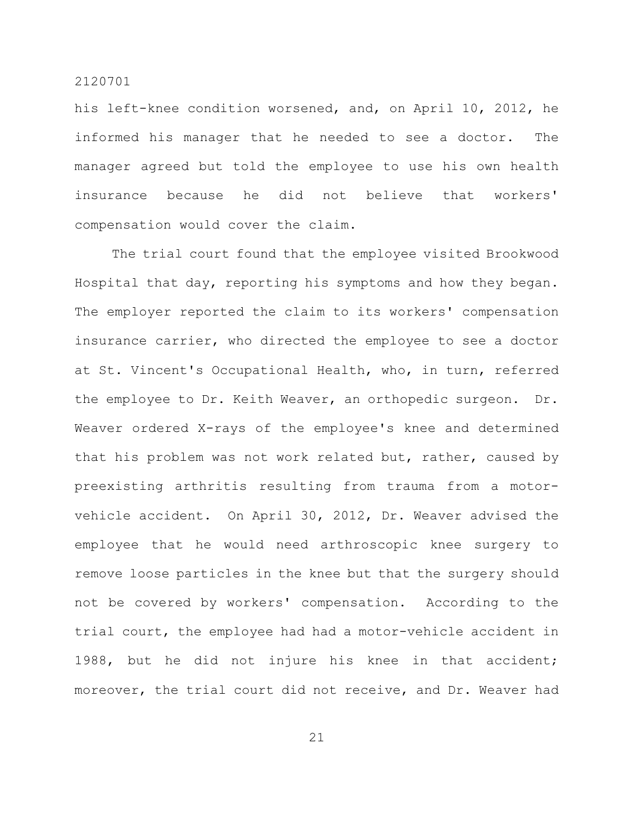his left-knee condition worsened, and, on April 10, 2012, he informed his manager that he needed to see a doctor. The manager agreed but told the employee to use his own health insurance because he did not believe that workers' compensation would cover the claim.

The trial court found that the employee visited Brookwood Hospital that day, reporting his symptoms and how they began. The employer reported the claim to its workers' compensation insurance carrier, who directed the employee to see a doctor at St. Vincent's Occupational Health, who, in turn, referred the employee to Dr. Keith Weaver, an orthopedic surgeon. Dr. Weaver ordered X-rays of the employee's knee and determined that his problem was not work related but, rather, caused by preexisting arthritis resulting from trauma from a motorvehicle accident. On April 30, 2012, Dr. Weaver advised the employee that he would need arthroscopic knee surgery to remove loose particles in the knee but that the surgery should not be covered by workers' compensation. According to the trial court, the employee had had a motor-vehicle accident in 1988, but he did not injure his knee in that accident; moreover, the trial court did not receive, and Dr. Weaver had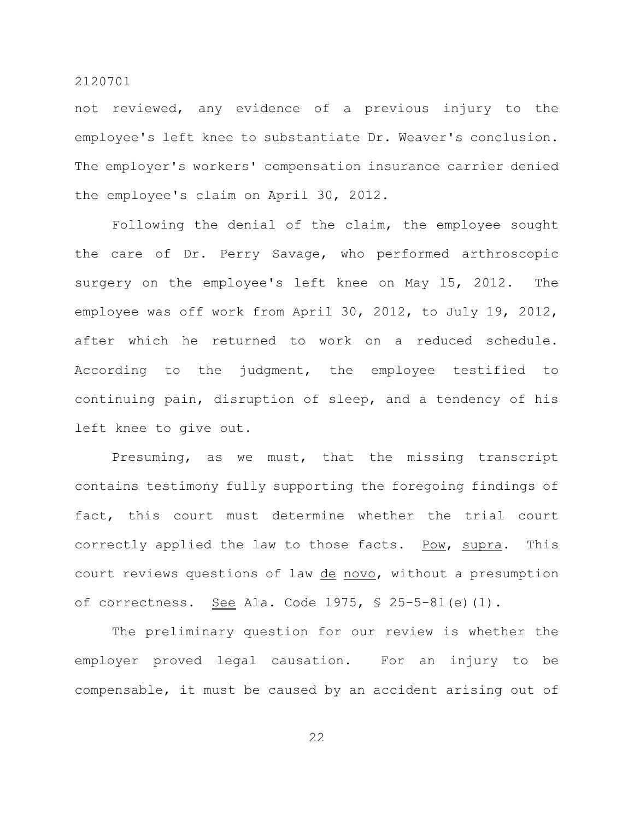not reviewed, any evidence of a previous injury to the employee's left knee to substantiate Dr. Weaver's conclusion. The employer's workers' compensation insurance carrier denied the employee's claim on April 30, 2012.

Following the denial of the claim, the employee sought the care of Dr. Perry Savage, who performed arthroscopic surgery on the employee's left knee on May 15, 2012. The employee was off work from April 30, 2012, to July 19, 2012, after which he returned to work on a reduced schedule. According to the judgment, the employee testified to continuing pain, disruption of sleep, and a tendency of his left knee to give out.

Presuming, as we must, that the missing transcript contains testimony fully supporting the foregoing findings of fact, this court must determine whether the trial court correctly applied the law to those facts. Pow, supra. This court reviews questions of law de novo, without a presumption of correctness. See Ala. Code 1975,  $$ 25-5-81$  (e) (1).

The preliminary question for our review is whether the employer proved legal causation. For an injury to be compensable, it must be caused by an accident arising out of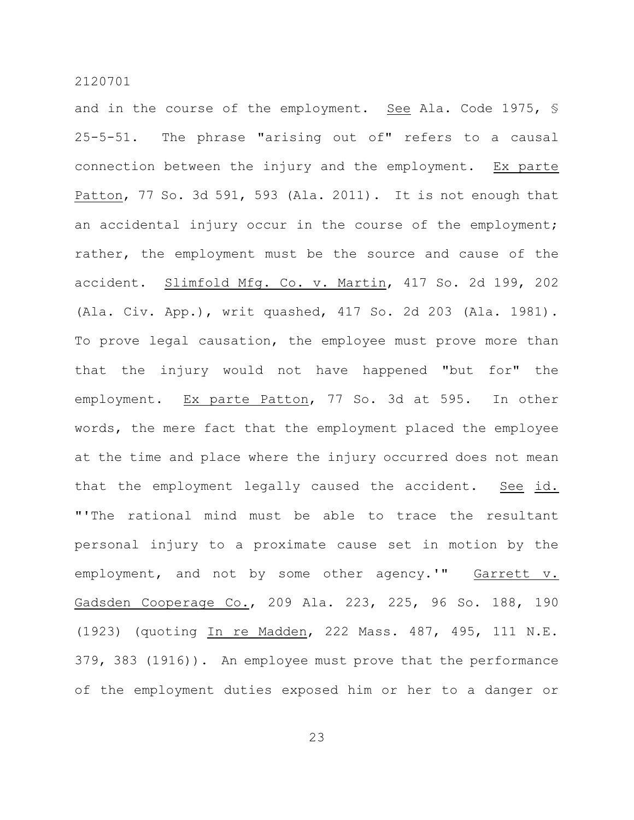and in the course of the employment. See Ala. Code 1975, § 25-5-51. The phrase "arising out of" refers to a causal connection between the injury and the employment. Ex parte Patton, 77 So. 3d 591, 593 (Ala. 2011). It is not enough that an accidental injury occur in the course of the employment; rather, the employment must be the source and cause of the accident. Slimfold Mfg. Co. v. Martin, 417 So. 2d 199, 202 (Ala. Civ. App.), writ quashed, 417 So. 2d 203 (Ala. 1981). To prove legal causation, the employee must prove more than that the injury would not have happened "but for" the employment. Ex parte Patton, 77 So. 3d at 595. In other words, the mere fact that the employment placed the employee at the time and place where the injury occurred does not mean that the employment legally caused the accident. See id. "'The rational mind must be able to trace the resultant personal injury to a proximate cause set in motion by the employment, and not by some other agency.'" Garrett v. Gadsden Cooperage Co., 209 Ala. 223, 225, 96 So. 188, 190 (1923) (quoting In re Madden, 222 Mass. 487, 495, 111 N.E. 379, 383 (1916)). An employee must prove that the performance of the employment duties exposed him or her to a danger or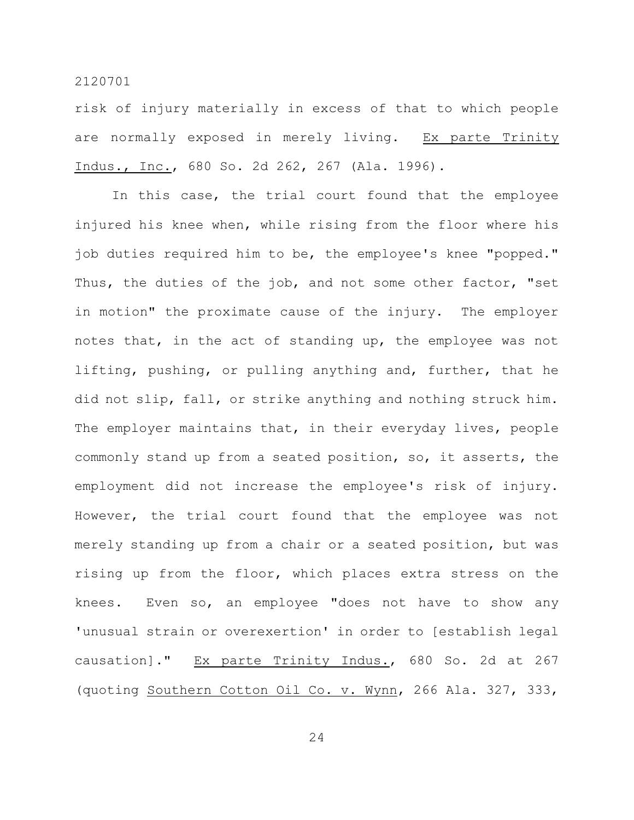risk of injury materially in excess of that to which people are normally exposed in merely living. Ex parte Trinity Indus., Inc., 680 So. 2d 262, 267 (Ala. 1996).

In this case, the trial court found that the employee injured his knee when, while rising from the floor where his job duties required him to be, the employee's knee "popped." Thus, the duties of the job, and not some other factor, "set in motion" the proximate cause of the injury. The employer notes that, in the act of standing up, the employee was not lifting, pushing, or pulling anything and, further, that he did not slip, fall, or strike anything and nothing struck him. The employer maintains that, in their everyday lives, people commonly stand up from a seated position, so, it asserts, the employment did not increase the employee's risk of injury. However, the trial court found that the employee was not merely standing up from a chair or a seated position, but was rising up from the floor, which places extra stress on the knees. Even so, an employee "does not have to show any 'unusual strain or overexertion' in order to [establish legal causation]." Ex parte Trinity Indus., 680 So. 2d at 267 (quoting Southern Cotton Oil Co. v. Wynn, 266 Ala. 327, 333,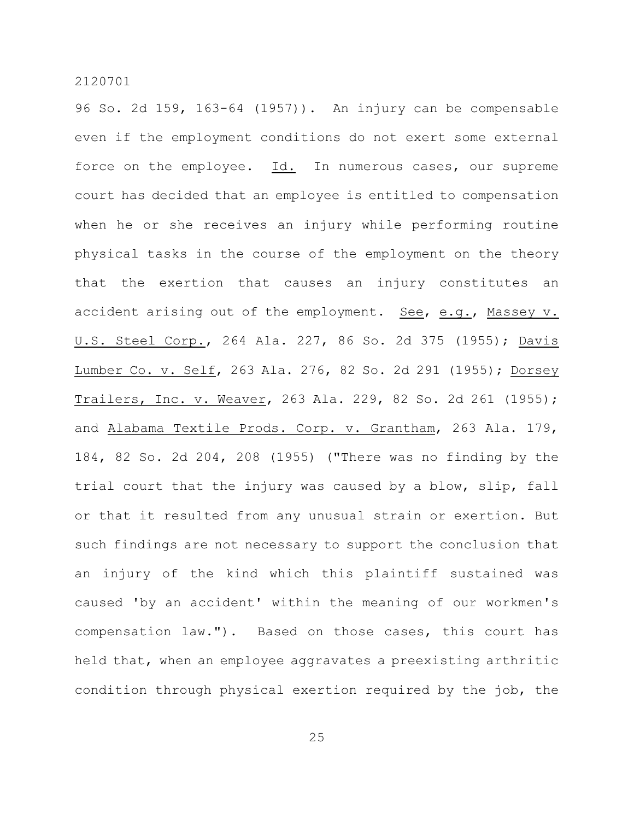96 So. 2d 159, 163-64 (1957)). An injury can be compensable even if the employment conditions do not exert some external force on the employee. Id. In numerous cases, our supreme court has decided that an employee is entitled to compensation when he or she receives an injury while performing routine physical tasks in the course of the employment on the theory that the exertion that causes an injury constitutes an accident arising out of the employment. See, e.g., Massey v. U.S. Steel Corp., 264 Ala. 227, 86 So. 2d 375 (1955); Davis Lumber Co. v. Self, 263 Ala. 276, 82 So. 2d 291 (1955); Dorsey Trailers, Inc. v. Weaver, 263 Ala. 229, 82 So. 2d 261 (1955); and Alabama Textile Prods. Corp. v. Grantham, 263 Ala. 179, 184, 82 So. 2d 204, 208 (1955) ("There was no finding by the trial court that the injury was caused by a blow, slip, fall or that it resulted from any unusual strain or exertion. But such findings are not necessary to support the conclusion that an injury of the kind which this plaintiff sustained was caused 'by an accident' within the meaning of our workmen's compensation law."). Based on those cases, this court has held that, when an employee aggravates a preexisting arthritic condition through physical exertion required by the job, the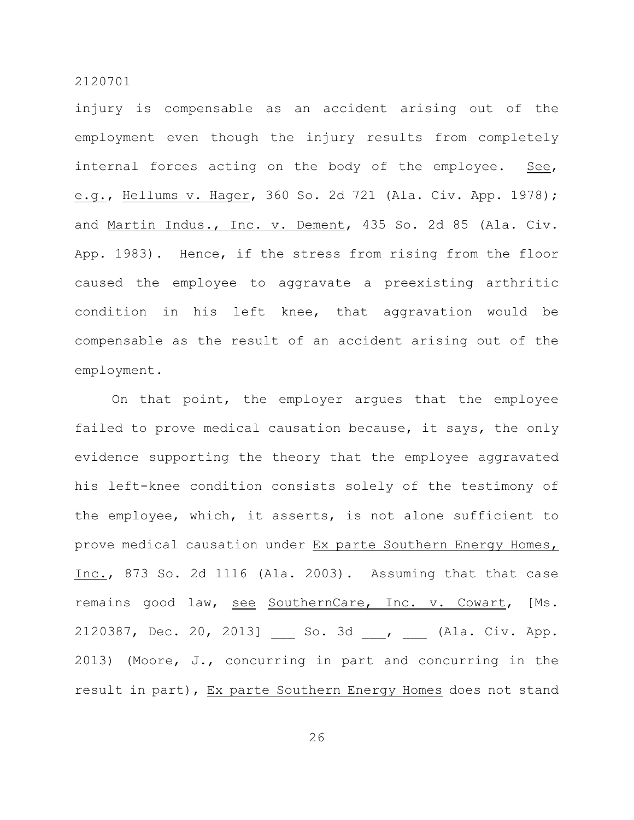injury is compensable as an accident arising out of the employment even though the injury results from completely internal forces acting on the body of the employee. See, e.g., Hellums v. Hager, 360 So. 2d 721 (Ala. Civ. App. 1978); and Martin Indus., Inc. v. Dement, 435 So. 2d 85 (Ala. Civ. App. 1983). Hence, if the stress from rising from the floor caused the employee to aggravate a preexisting arthritic condition in his left knee, that aggravation would be compensable as the result of an accident arising out of the employment.

On that point, the employer argues that the employee failed to prove medical causation because, it says, the only evidence supporting the theory that the employee aggravated his left-knee condition consists solely of the testimony of the employee, which, it asserts, is not alone sufficient to prove medical causation under Ex parte Southern Energy Homes, Inc., 873 So. 2d 1116 (Ala. 2003). Assuming that that case remains good law, see SouthernCare, Inc. v. Cowart, [Ms. 2120387, Dec. 20, 2013] So. 3d , (Ala. Civ. App. 2013) (Moore, J., concurring in part and concurring in the result in part), Ex parte Southern Energy Homes does not stand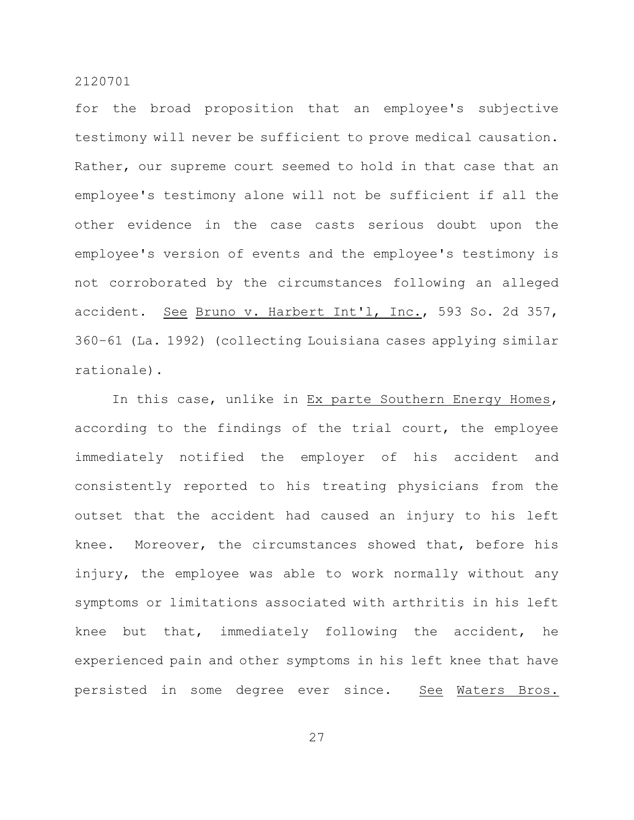for the broad proposition that an employee's subjective testimony will never be sufficient to prove medical causation. Rather, our supreme court seemed to hold in that case that an employee's testimony alone will not be sufficient if all the other evidence in the case casts serious doubt upon the employee's version of events and the employee's testimony is not corroborated by the circumstances following an alleged accident. See Bruno v. Harbert Int'l, Inc., 593 So. 2d 357, 360–61 (La. 1992) (collecting Louisiana cases applying similar rationale).

In this case, unlike in Ex parte Southern Energy Homes, according to the findings of the trial court, the employee immediately notified the employer of his accident and consistently reported to his treating physicians from the outset that the accident had caused an injury to his left knee. Moreover, the circumstances showed that, before his injury, the employee was able to work normally without any symptoms or limitations associated with arthritis in his left knee but that, immediately following the accident, he experienced pain and other symptoms in his left knee that have persisted in some degree ever since. See Waters Bros.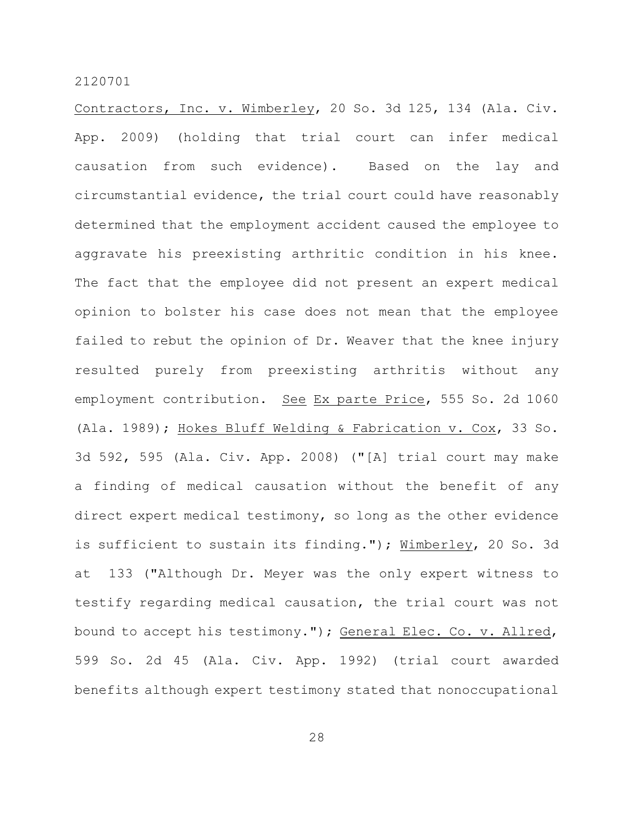Contractors, Inc. v. Wimberley, 20 So. 3d 125, 134 (Ala. Civ. App. 2009) (holding that trial court can infer medical causation from such evidence). Based on the lay and circumstantial evidence, the trial court could have reasonably determined that the employment accident caused the employee to aggravate his preexisting arthritic condition in his knee. The fact that the employee did not present an expert medical opinion to bolster his case does not mean that the employee failed to rebut the opinion of Dr. Weaver that the knee injury resulted purely from preexisting arthritis without any employment contribution. See Ex parte Price, 555 So. 2d 1060 (Ala. 1989); Hokes Bluff Welding & Fabrication v. Cox, 33 So. 3d 592, 595 (Ala. Civ. App. 2008) ("[A] trial court may make a finding of medical causation without the benefit of any direct expert medical testimony, so long as the other evidence is sufficient to sustain its finding."); Wimberley, 20 So. 3d at 133 ("Although Dr. Meyer was the only expert witness to testify regarding medical causation, the trial court was not bound to accept his testimony."); General Elec. Co. v. Allred, 599 So. 2d 45 (Ala. Civ. App. 1992) (trial court awarded benefits although expert testimony stated that nonoccupational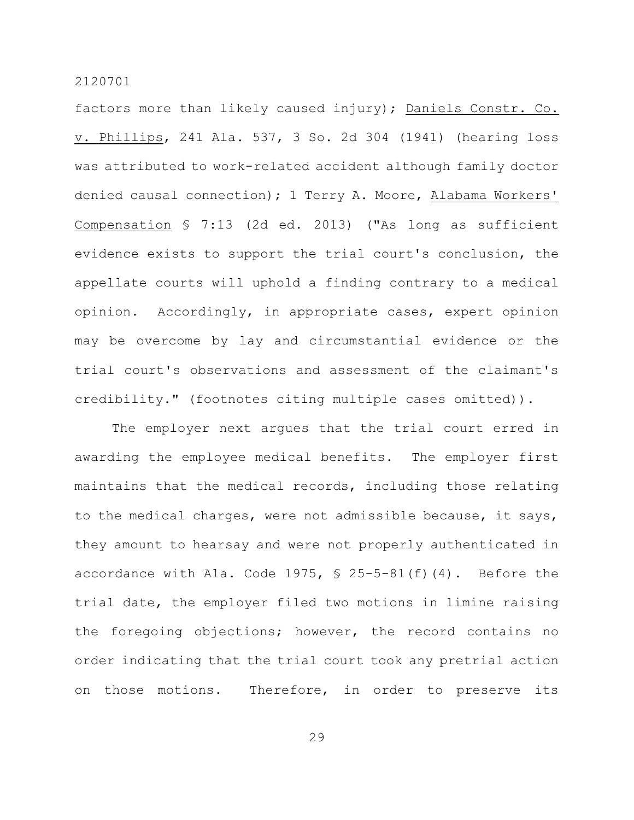factors more than likely caused injury); Daniels Constr. Co. v. Phillips, 241 Ala. 537, 3 So. 2d 304 (1941) (hearing loss was attributed to work-related accident although family doctor denied causal connection); 1 Terry A. Moore, Alabama Workers' Compensation § 7:13 (2d ed. 2013) ("As long as sufficient evidence exists to support the trial court's conclusion, the appellate courts will uphold a finding contrary to a medical opinion. Accordingly, in appropriate cases, expert opinion may be overcome by lay and circumstantial evidence or the trial court's observations and assessment of the claimant's credibility." (footnotes citing multiple cases omitted)).

The employer next argues that the trial court erred in awarding the employee medical benefits. The employer first maintains that the medical records, including those relating to the medical charges, were not admissible because, it says, they amount to hearsay and were not properly authenticated in accordance with Ala. Code 1975,  $\frac{1}{2}$  25-5-81(f)(4). Before the trial date, the employer filed two motions in limine raising the foregoing objections; however, the record contains no order indicating that the trial court took any pretrial action on those motions. Therefore, in order to preserve its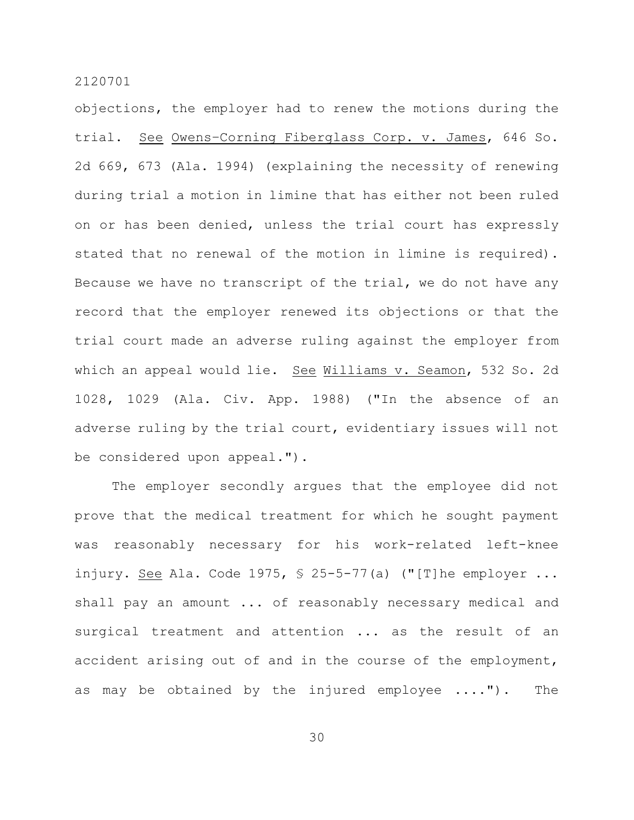objections, the employer had to renew the motions during the trial. See Owens–Corning Fiberglass Corp. v. James, 646 So. 2d 669, 673 (Ala. 1994) (explaining the necessity of renewing during trial a motion in limine that has either not been ruled on or has been denied, unless the trial court has expressly stated that no renewal of the motion in limine is required). Because we have no transcript of the trial, we do not have any record that the employer renewed its objections or that the trial court made an adverse ruling against the employer from which an appeal would lie. See Williams v. Seamon, 532 So. 2d 1028, 1029 (Ala. Civ. App. 1988) ("In the absence of an adverse ruling by the trial court, evidentiary issues will not be considered upon appeal.").

The employer secondly argues that the employee did not prove that the medical treatment for which he sought payment was reasonably necessary for his work-related left-knee injury. See Ala. Code 1975,  $\frac{1}{2}$  25-5-77(a) ("[T]he employer ... shall pay an amount ... of reasonably necessary medical and surgical treatment and attention ... as the result of an accident arising out of and in the course of the employment, as may be obtained by the injured employee ...."). The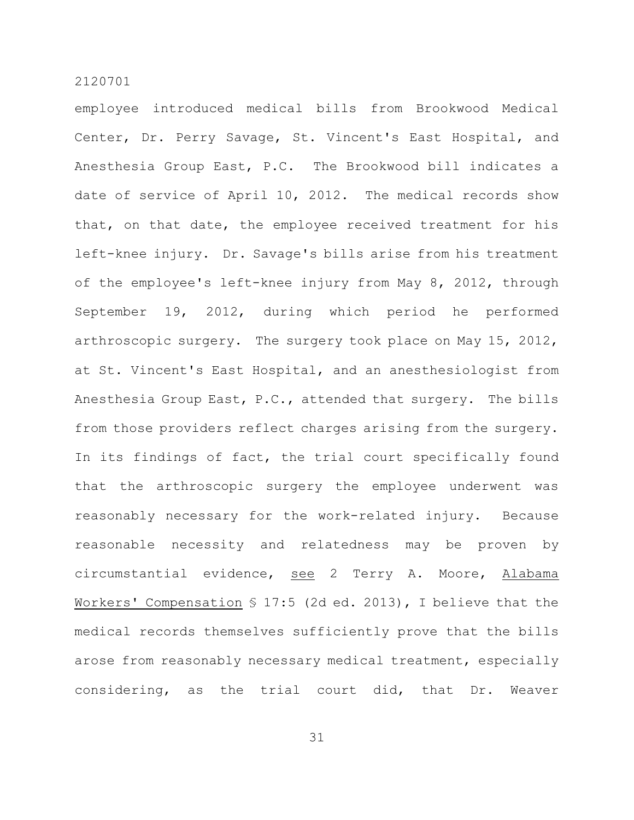employee introduced medical bills from Brookwood Medical Center, Dr. Perry Savage, St. Vincent's East Hospital, and Anesthesia Group East, P.C. The Brookwood bill indicates a date of service of April 10, 2012. The medical records show that, on that date, the employee received treatment for his left-knee injury. Dr. Savage's bills arise from his treatment of the employee's left-knee injury from May 8, 2012, through September 19, 2012, during which period he performed arthroscopic surgery. The surgery took place on May 15, 2012, at St. Vincent's East Hospital, and an anesthesiologist from Anesthesia Group East, P.C., attended that surgery. The bills from those providers reflect charges arising from the surgery. In its findings of fact, the trial court specifically found that the arthroscopic surgery the employee underwent was reasonably necessary for the work-related injury. Because reasonable necessity and relatedness may be proven by circumstantial evidence, see 2 Terry A. Moore, Alabama Workers' Compensation § 17:5 (2d ed. 2013), I believe that the medical records themselves sufficiently prove that the bills arose from reasonably necessary medical treatment, especially considering, as the trial court did, that Dr. Weaver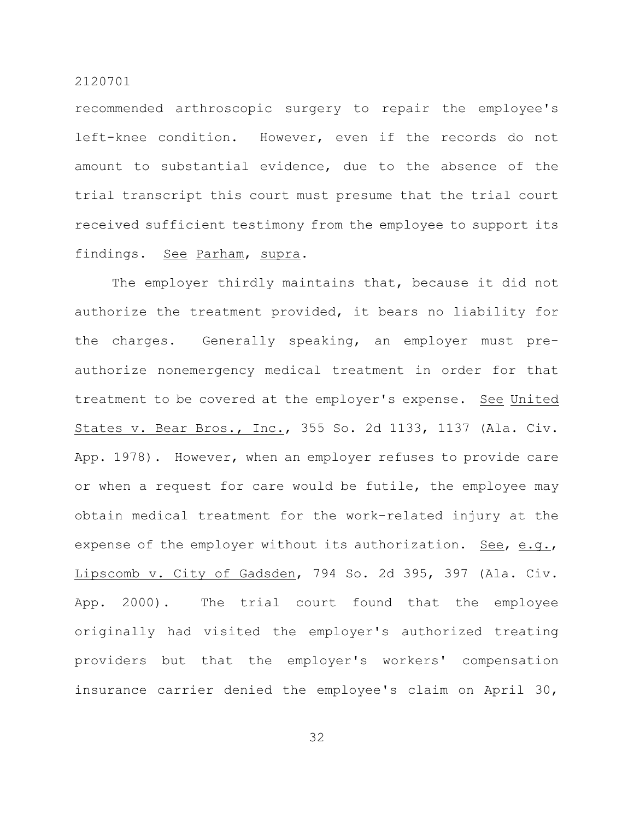recommended arthroscopic surgery to repair the employee's left-knee condition. However, even if the records do not amount to substantial evidence, due to the absence of the trial transcript this court must presume that the trial court received sufficient testimony from the employee to support its findings. See Parham, supra.

The employer thirdly maintains that, because it did not authorize the treatment provided, it bears no liability for the charges. Generally speaking, an employer must preauthorize nonemergency medical treatment in order for that treatment to be covered at the employer's expense. See United States v. Bear Bros., Inc., 355 So. 2d 1133, 1137 (Ala. Civ. App. 1978). However, when an employer refuses to provide care or when a request for care would be futile, the employee may obtain medical treatment for the work-related injury at the expense of the employer without its authorization. See, e.g., Lipscomb v. City of Gadsden, 794 So. 2d 395, 397 (Ala. Civ. App. 2000). The trial court found that the employee originally had visited the employer's authorized treating providers but that the employer's workers' compensation insurance carrier denied the employee's claim on April 30,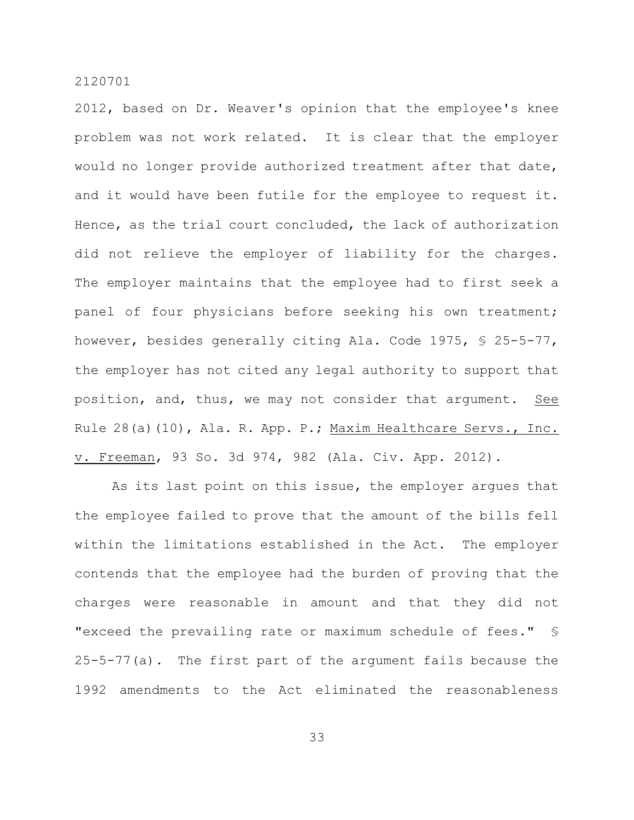2012, based on Dr. Weaver's opinion that the employee's knee problem was not work related. It is clear that the employer would no longer provide authorized treatment after that date, and it would have been futile for the employee to request it. Hence, as the trial court concluded, the lack of authorization did not relieve the employer of liability for the charges. The employer maintains that the employee had to first seek a panel of four physicians before seeking his own treatment; however, besides generally citing Ala. Code 1975, § 25-5-77, the employer has not cited any legal authority to support that position, and, thus, we may not consider that argument. See Rule 28(a)(10), Ala. R. App. P.; Maxim Healthcare Servs., Inc. v. Freeman, 93 So. 3d 974, 982 (Ala. Civ. App. 2012).

As its last point on this issue, the employer argues that the employee failed to prove that the amount of the bills fell within the limitations established in the Act. The employer contends that the employee had the burden of proving that the charges were reasonable in amount and that they did not "exceed the prevailing rate or maximum schedule of fees." § 25-5-77(a). The first part of the argument fails because the 1992 amendments to the Act eliminated the reasonableness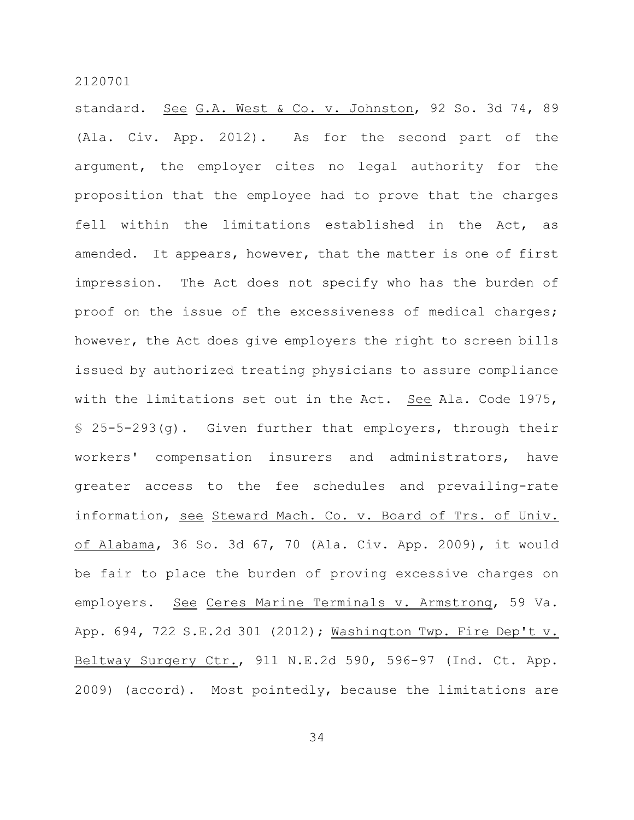standard. See G.A. West & Co. v. Johnston, 92 So. 3d 74, 89 (Ala. Civ. App. 2012). As for the second part of the argument, the employer cites no legal authority for the proposition that the employee had to prove that the charges fell within the limitations established in the Act, as amended. It appears, however, that the matter is one of first impression. The Act does not specify who has the burden of proof on the issue of the excessiveness of medical charges; however, the Act does give employers the right to screen bills issued by authorized treating physicians to assure compliance with the limitations set out in the Act. See Ala. Code 1975, § 25-5-293(g). Given further that employers, through their workers' compensation insurers and administrators, have greater access to the fee schedules and prevailing-rate information, see Steward Mach. Co. v. Board of Trs. of Univ. of Alabama, 36 So. 3d 67, 70 (Ala. Civ. App. 2009), it would be fair to place the burden of proving excessive charges on employers. See Ceres Marine Terminals v. Armstrong, 59 Va. App. 694, 722 S.E.2d 301 (2012); Washington Twp. Fire Dep't v. Beltway Surgery Ctr., 911 N.E.2d 590, 596-97 (Ind. Ct. App. 2009) (accord). Most pointedly, because the limitations are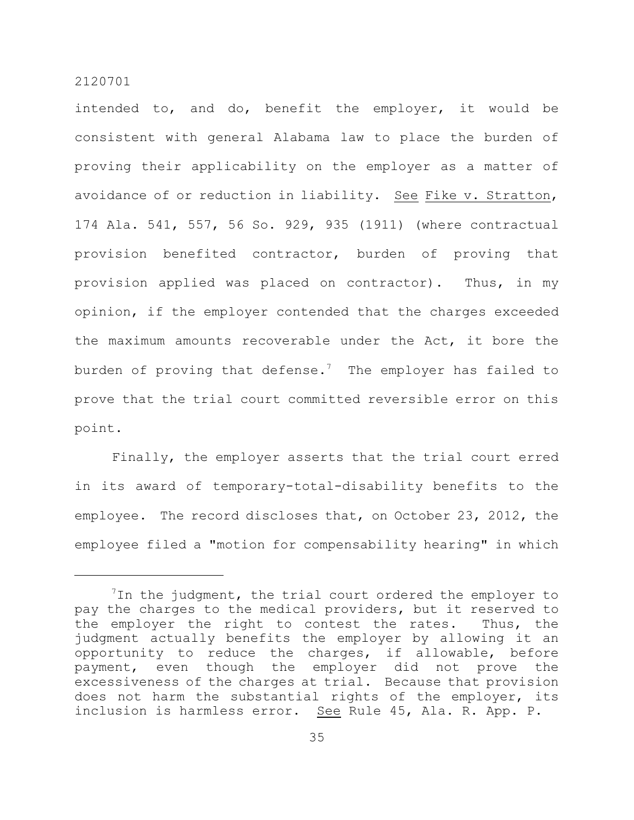intended to, and do, benefit the employer, it would be consistent with general Alabama law to place the burden of proving their applicability on the employer as a matter of avoidance of or reduction in liability. See Fike v. Stratton, 174 Ala. 541, 557, 56 So. 929, 935 (1911) (where contractual provision benefited contractor, burden of proving that provision applied was placed on contractor). Thus, in my opinion, if the employer contended that the charges exceeded the maximum amounts recoverable under the Act, it bore the burden of proving that defense.<sup>7</sup> The employer has failed to prove that the trial court committed reversible error on this point.

Finally, the employer asserts that the trial court erred in its award of temporary-total-disability benefits to the employee. The record discloses that, on October 23, 2012, the employee filed a "motion for compensability hearing" in which

 $1$ In the judgment, the trial court ordered the employer to pay the charges to the medical providers, but it reserved to the employer the right to contest the rates. Thus, the judgment actually benefits the employer by allowing it an opportunity to reduce the charges, if allowable, before payment, even though the employer did not prove the excessiveness of the charges at trial. Because that provision does not harm the substantial rights of the employer, its inclusion is harmless error. See Rule 45, Ala. R. App. P.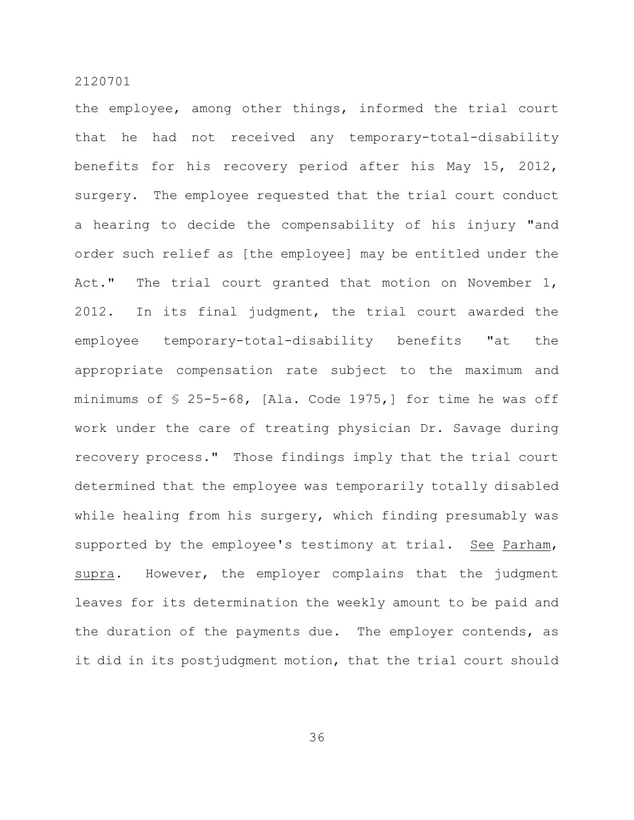the employee, among other things, informed the trial court that he had not received any temporary-total-disability benefits for his recovery period after his May 15, 2012, surgery. The employee requested that the trial court conduct a hearing to decide the compensability of his injury "and order such relief as [the employee] may be entitled under the Act." The trial court granted that motion on November 1, 2012. In its final judgment, the trial court awarded the employee temporary-total-disability benefits "at the appropriate compensation rate subject to the maximum and minimums of § 25-5-68, [Ala. Code 1975,] for time he was off work under the care of treating physician Dr. Savage during recovery process." Those findings imply that the trial court determined that the employee was temporarily totally disabled while healing from his surgery, which finding presumably was supported by the employee's testimony at trial. See Parham, supra. However, the employer complains that the judgment leaves for its determination the weekly amount to be paid and the duration of the payments due. The employer contends, as it did in its postjudgment motion, that the trial court should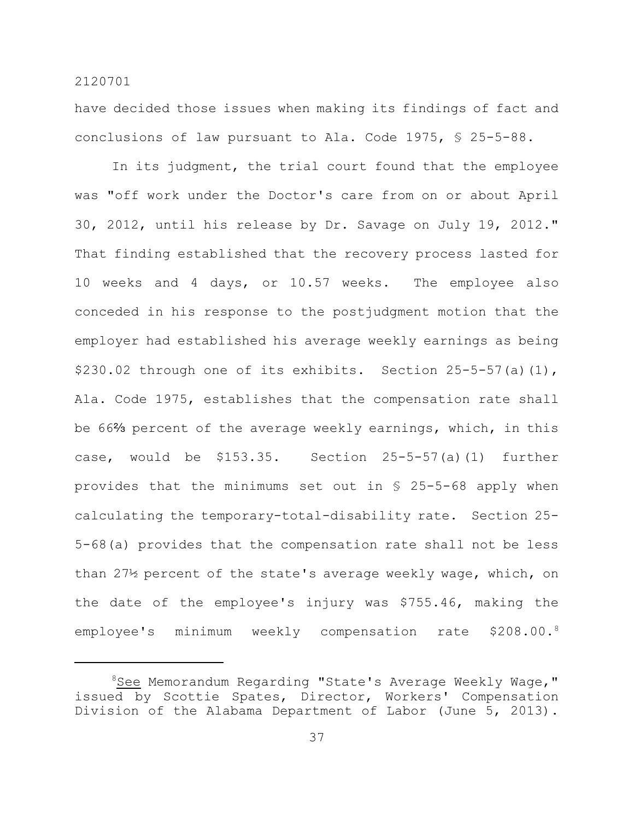have decided those issues when making its findings of fact and conclusions of law pursuant to Ala. Code 1975, § 25-5-88.

In its judgment, the trial court found that the employee was "off work under the Doctor's care from on or about April 30, 2012, until his release by Dr. Savage on July 19, 2012." That finding established that the recovery process lasted for 10 weeks and 4 days, or 10.57 weeks. The employee also conceded in his response to the postjudgment motion that the employer had established his average weekly earnings as being \$230.02 through one of its exhibits. Section 25-5-57(a)(1), Ala. Code 1975, establishes that the compensation rate shall be 66% percent of the average weekly earnings, which, in this case, would be \$153.35. Section 25-5-57(a)(1) further provides that the minimums set out in § 25-5-68 apply when calculating the temporary-total-disability rate. Section 25- 5-68(a) provides that the compensation rate shall not be less than 27½ percent of the state's average weekly wage, which, on the date of the employee's injury was \$755.46, making the employee's minimum weekly compensation rate  $$208.00.^8$ 

<sup>&</sup>lt;sup>8</sup>See Memorandum Regarding "State's Average Weekly Wage," issued by Scottie Spates, Director, Workers' Compensation Division of the Alabama Department of Labor (June 5, 2013).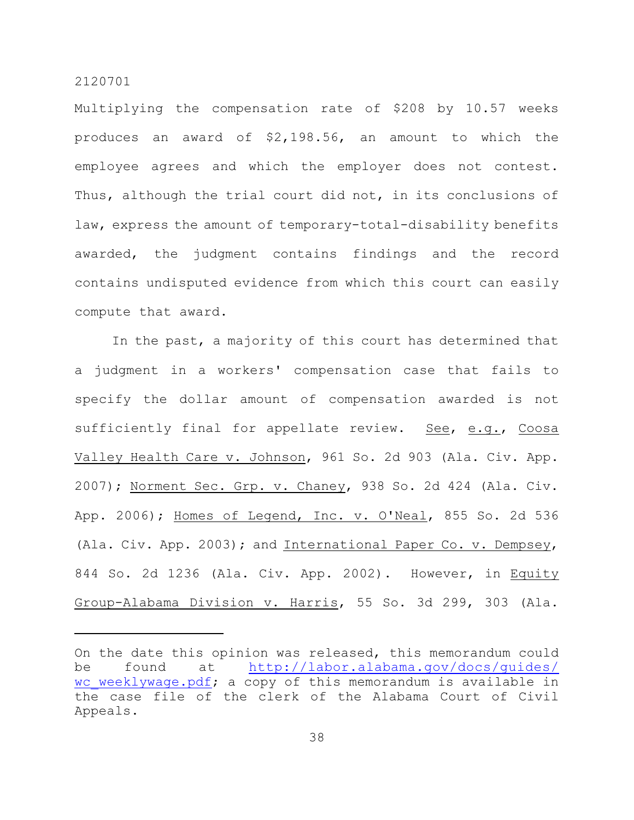Multiplying the compensation rate of \$208 by 10.57 weeks produces an award of \$2,198.56, an amount to which the employee agrees and which the employer does not contest. Thus, although the trial court did not, in its conclusions of law, express the amount of temporary-total-disability benefits awarded, the judgment contains findings and the record contains undisputed evidence from which this court can easily compute that award.

In the past, a majority of this court has determined that a judgment in a workers' compensation case that fails to specify the dollar amount of compensation awarded is not sufficiently final for appellate review. See, e.g., Coosa Valley Health Care v. Johnson, 961 So. 2d 903 (Ala. Civ. App. 2007); Norment Sec. Grp. v. Chaney, 938 So. 2d 424 (Ala. Civ. App. 2006); Homes of Legend, Inc. v. O'Neal, 855 So. 2d 536 (Ala. Civ. App. 2003); and International Paper Co. v. Dempsey, 844 So. 2d 1236 (Ala. Civ. App. 2002). However, in Equity Group-Alabama Division v. Harris, 55 So. 3d 299, 303 (Ala.

On the date this opinion was released, this memorandum could be found at [http://labor.alabama.gov/docs/guides/](http://labor.alabama.gov/docs/guides/wc_weeklywage.pdf;) wc weeklywage.pdf; a copy of this memorandum is available in the case file of the clerk of the Alabama Court of Civil Appeals.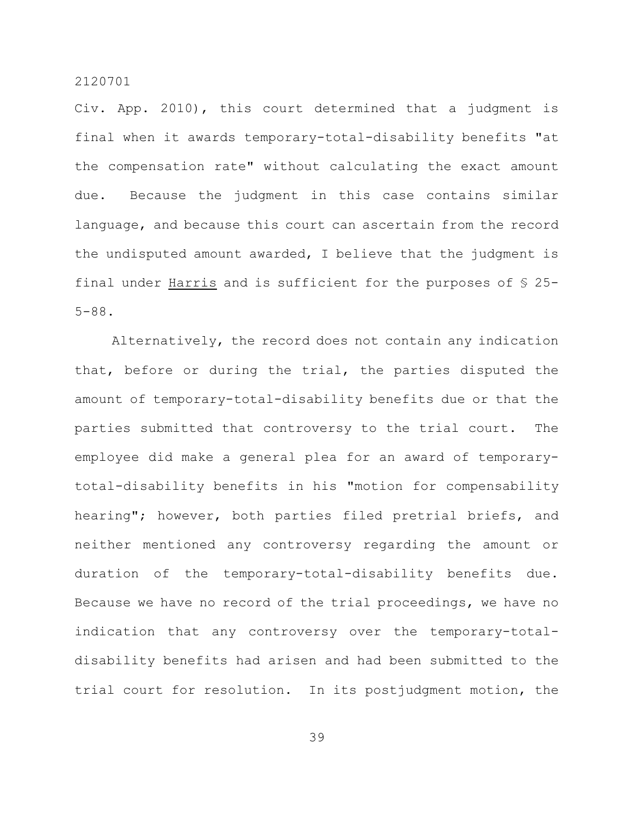Civ. App. 2010), this court determined that a judgment is final when it awards temporary-total-disability benefits "at the compensation rate" without calculating the exact amount due. Because the judgment in this case contains similar language, and because this court can ascertain from the record the undisputed amount awarded, I believe that the judgment is final under Harris and is sufficient for the purposes of § 25- 5-88.

Alternatively, the record does not contain any indication that, before or during the trial, the parties disputed the amount of temporary-total-disability benefits due or that the parties submitted that controversy to the trial court. The employee did make a general plea for an award of temporarytotal-disability benefits in his "motion for compensability hearing"; however, both parties filed pretrial briefs, and neither mentioned any controversy regarding the amount or duration of the temporary-total-disability benefits due. Because we have no record of the trial proceedings, we have no indication that any controversy over the temporary-totaldisability benefits had arisen and had been submitted to the trial court for resolution. In its postjudgment motion, the